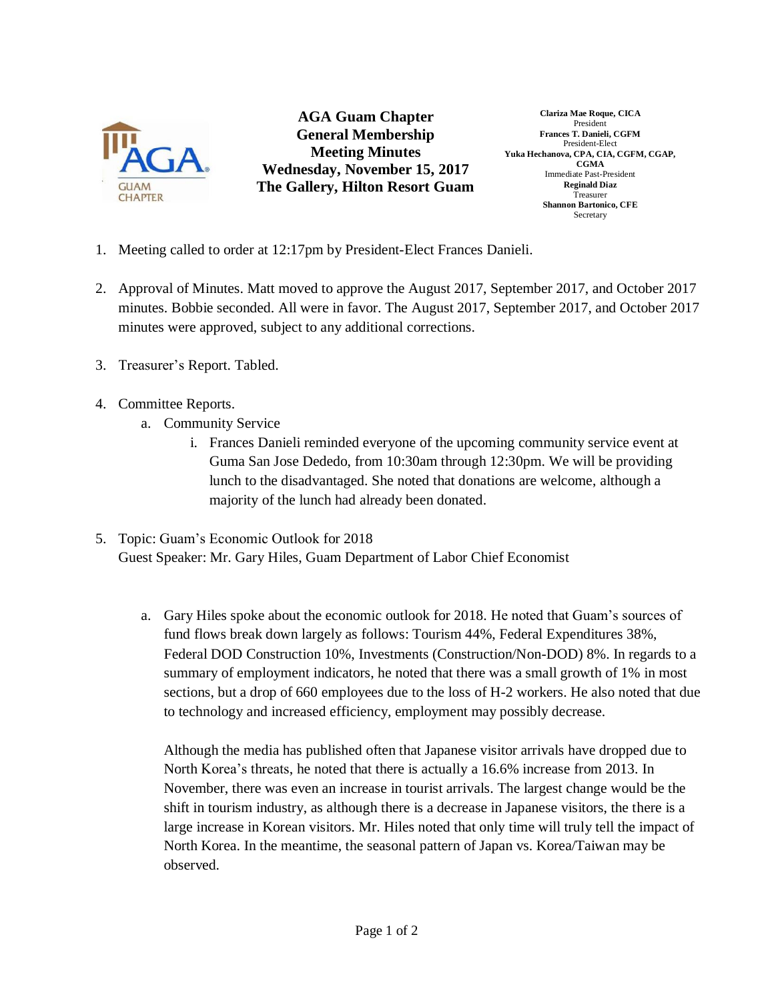

**AGA Guam Chapter General Membership Meeting Minutes Wednesday, November 15, 2017 The Gallery, Hilton Resort Guam**

**Clariza Mae Roque, CICA** President **Frances T. Danieli, CGFM** President-Elect **Yuka Hechanova, CPA, CIA, CGFM, CGAP, CGMA** Immediate Past-President **Reginald Diaz** Treasurer **Shannon Bartonico, CFE** Secretary

- 1. Meeting called to order at 12:17pm by President-Elect Frances Danieli.
- 2. Approval of Minutes. Matt moved to approve the August 2017, September 2017, and October 2017 minutes. Bobbie seconded. All were in favor. The August 2017, September 2017, and October 2017 minutes were approved, subject to any additional corrections.
- 3. Treasurer's Report. Tabled.
- 4. Committee Reports.
	- a. Community Service
		- i. Frances Danieli reminded everyone of the upcoming community service event at Guma San Jose Dededo, from 10:30am through 12:30pm. We will be providing lunch to the disadvantaged. She noted that donations are welcome, although a majority of the lunch had already been donated.
- 5. Topic: Guam's Economic Outlook for 2018 Guest Speaker: Mr. Gary Hiles, Guam Department of Labor Chief Economist
	- a. Gary Hiles spoke about the economic outlook for 2018. He noted that Guam's sources of fund flows break down largely as follows: Tourism 44%, Federal Expenditures 38%, Federal DOD Construction 10%, Investments (Construction/Non-DOD) 8%. In regards to a summary of employment indicators, he noted that there was a small growth of 1% in most sections, but a drop of 660 employees due to the loss of H-2 workers. He also noted that due to technology and increased efficiency, employment may possibly decrease.

Although the media has published often that Japanese visitor arrivals have dropped due to North Korea's threats, he noted that there is actually a 16.6% increase from 2013. In November, there was even an increase in tourist arrivals. The largest change would be the shift in tourism industry, as although there is a decrease in Japanese visitors, the there is a large increase in Korean visitors. Mr. Hiles noted that only time will truly tell the impact of North Korea. In the meantime, the seasonal pattern of Japan vs. Korea/Taiwan may be observed.